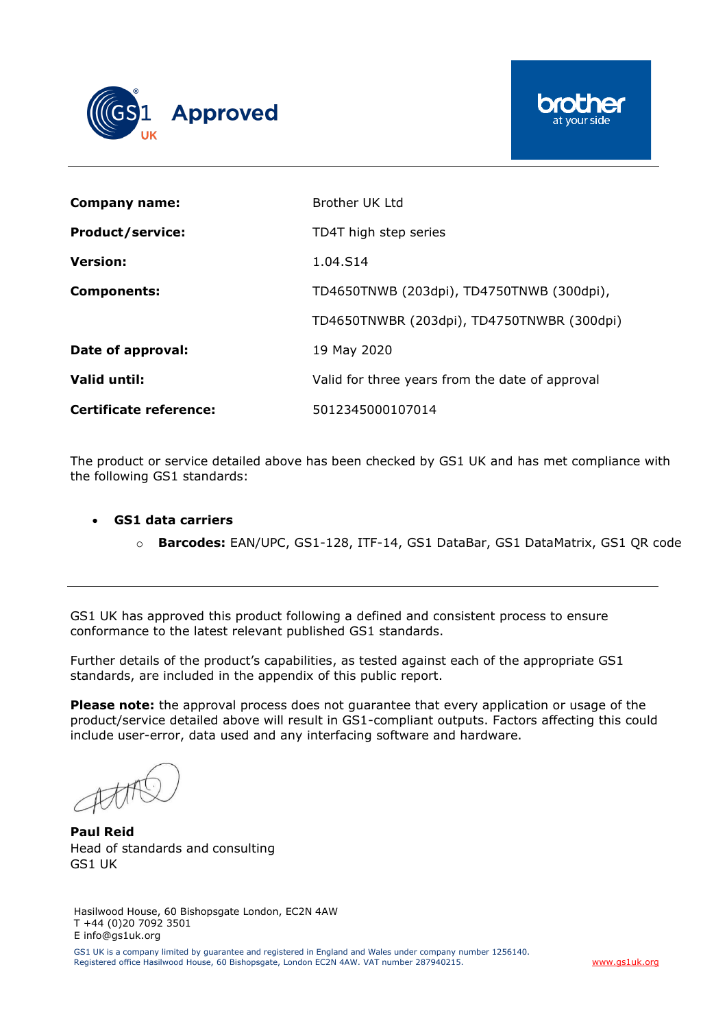



| Company name:                 | Brother UK Ltd                                  |
|-------------------------------|-------------------------------------------------|
| <b>Product/service:</b>       | TD4T high step series                           |
| <b>Version:</b>               | 1.04.S14                                        |
| <b>Components:</b>            | TD4650TNWB (203dpi), TD4750TNWB (300dpi),       |
|                               | TD4650TNWBR (203dpi), TD4750TNWBR (300dpi)      |
| Date of approval:             | 19 May 2020                                     |
| Valid until:                  | Valid for three years from the date of approval |
| <b>Certificate reference:</b> | 5012345000107014                                |

The product or service detailed above has been checked by GS1 UK and has met compliance with the following GS1 standards:

- **GS1 data carriers**
	- o **Barcodes:** EAN/UPC, GS1-128, ITF-14, GS1 DataBar, GS1 DataMatrix, GS1 QR code

GS1 UK has approved this product following a defined and consistent process to ensure conformance to the latest relevant published GS1 standards.

Further details of the product's capabilities, as tested against each of the appropriate GS1 standards, are included in the appendix of this public report.

**Please note:** the approval process does not guarantee that every application or usage of the product/service detailed above will result in GS1-compliant outputs. Factors affecting this could include user-error, data used and any interfacing software and hardware.

**Paul Reid** Head of standards and consulting GS1 UK

Hasilwood House, 60 Bishopsgate London, EC2N 4AW T +44 (0)20 7092 3501 E info@gs1uk.org

GS1 UK is a company limited by guarantee and registered in England and Wales under company number 1256140. Registered office Hasilwood House, 60 Bishopsgate, London EC2N 4AW. VAT number 287940215. [www.gs1uk.org](http://www.gs1uk.org/)